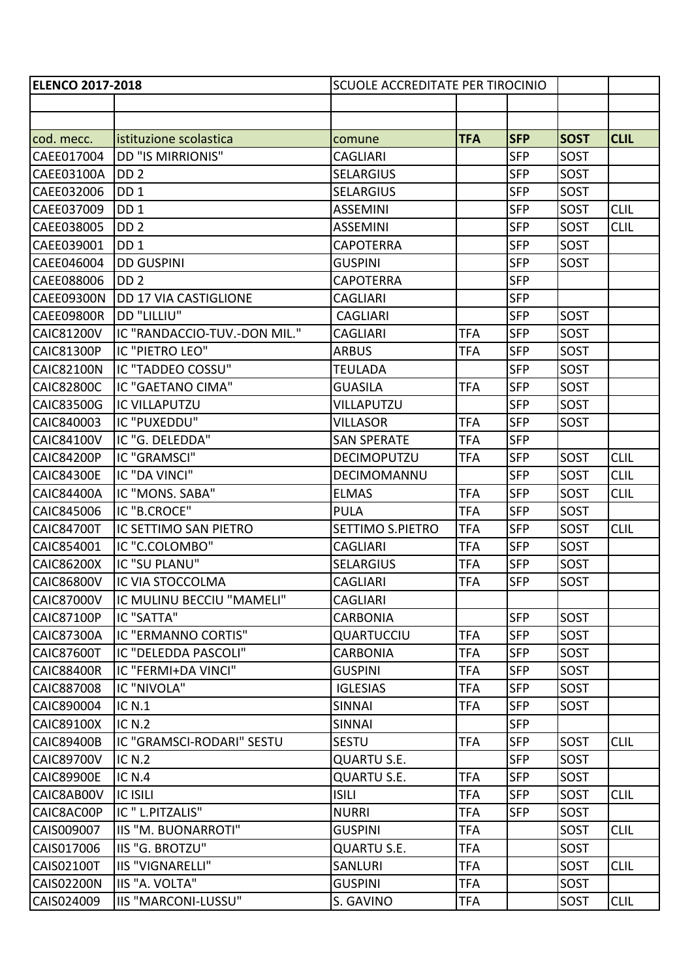| <b>ELENCO 2017-2018</b> |                              | SCUOLE ACCREDITATE PER TIROCINIO |            |            |             |             |
|-------------------------|------------------------------|----------------------------------|------------|------------|-------------|-------------|
|                         |                              |                                  |            |            |             |             |
|                         |                              |                                  |            |            |             |             |
| cod. mecc.              | istituzione scolastica       | comune                           | <b>TFA</b> | <b>SFP</b> | <b>SOST</b> | <b>CLIL</b> |
| CAEE017004              | <b>DD "IS MIRRIONIS"</b>     | <b>CAGLIARI</b>                  |            | <b>SFP</b> | SOST        |             |
| CAEE03100A              | DD <sub>2</sub>              | <b>SELARGIUS</b>                 |            | <b>SFP</b> | SOST        |             |
| CAEE032006              | DD <sub>1</sub>              | <b>SELARGIUS</b>                 |            | <b>SFP</b> | SOST        |             |
| CAEE037009              | DD <sub>1</sub>              | <b>ASSEMINI</b>                  |            | <b>SFP</b> | SOST        | <b>CLIL</b> |
| CAEE038005              | DD <sub>2</sub>              | <b>ASSEMINI</b>                  |            | <b>SFP</b> | SOST        | <b>CLIL</b> |
| CAEE039001              | DD <sub>1</sub>              | <b>CAPOTERRA</b>                 |            | <b>SFP</b> | SOST        |             |
| CAEE046004              | <b>DD GUSPINI</b>            | <b>GUSPINI</b>                   |            | <b>SFP</b> | SOST        |             |
| CAEE088006              | DD <sub>2</sub>              | <b>CAPOTERRA</b>                 |            | <b>SFP</b> |             |             |
| <b>CAEE09300N</b>       | <b>DD 17 VIA CASTIGLIONE</b> | <b>CAGLIARI</b>                  |            | <b>SFP</b> |             |             |
| <b>CAEE09800R</b>       | DD "LILLIU"                  | <b>CAGLIARI</b>                  |            | <b>SFP</b> | SOST        |             |
| <b>CAIC81200V</b>       | IC "RANDACCIO-TUV.-DON MIL." | <b>CAGLIARI</b>                  | <b>TFA</b> | <b>SFP</b> | SOST        |             |
| <b>CAIC81300P</b>       | IC "PIETRO LEO"              | <b>ARBUS</b>                     | TFA        | <b>SFP</b> | SOST        |             |
| <b>CAIC82100N</b>       | IC "TADDEO COSSU"            | <b>TEULADA</b>                   |            | <b>SFP</b> | SOST        |             |
| <b>CAIC82800C</b>       | IC "GAETANO CIMA"            | <b>GUASILA</b>                   | <b>TFA</b> | <b>SFP</b> | SOST        |             |
| CAIC83500G              | IC VILLAPUTZU                | VILLAPUTZU                       |            | <b>SFP</b> | SOST        |             |
| CAIC840003              | IC "PUXEDDU"                 | <b>VILLASOR</b>                  | <b>TFA</b> | <b>SFP</b> | SOST        |             |
| <b>CAIC84100V</b>       | IC "G. DELEDDA"              | <b>SAN SPERATE</b>               | <b>TFA</b> | <b>SFP</b> |             |             |
| <b>CAIC84200P</b>       | IC "GRAMSCI"                 | DECIMOPUTZU                      | <b>TFA</b> | <b>SFP</b> | SOST        | <b>CLIL</b> |
| <b>CAIC84300E</b>       | IC "DA VINCI"                | DECIMOMANNU                      |            | <b>SFP</b> | SOST        | <b>CLIL</b> |
| <b>CAIC84400A</b>       | IC "MONS. SABA"              | <b>ELMAS</b>                     | <b>TFA</b> | <b>SFP</b> | SOST        | <b>CLIL</b> |
| CAIC845006              | IC "B.CROCE"                 | <b>PULA</b>                      | TFA        | <b>SFP</b> | SOST        |             |
| <b>CAIC84700T</b>       | IC SETTIMO SAN PIETRO        | SETTIMO S.PIETRO                 | <b>TFA</b> | <b>SFP</b> | SOST        | <b>CLIL</b> |
| CAIC854001              | IC "C.COLOMBO"               | <b>CAGLIARI</b>                  | TFA        | <b>SFP</b> | SOST        |             |
| <b>CAIC86200X</b>       | IC "SU PLANU"                | <b>SELARGIUS</b>                 | <b>TFA</b> | <b>SFP</b> | SOST        |             |
| <b>CAIC86800V</b>       | IC VIA STOCCOLMA             | <b>CAGLIARI</b>                  | TFA        | <b>SFP</b> | <b>SOST</b> |             |
| <b>CAIC87000V</b>       | IC MULINU BECCIU "MAMELI"    | <b>CAGLIARI</b>                  |            |            |             |             |
| <b>CAIC87100P</b>       | IC "SATTA"                   | <b>CARBONIA</b>                  |            | <b>SFP</b> | SOST        |             |
| <b>CAIC87300A</b>       | IC "ERMANNO CORTIS"          | QUARTUCCIU                       | <b>TFA</b> | <b>SFP</b> | SOST        |             |
| <b>CAIC87600T</b>       | IC "DELEDDA PASCOLI"         | <b>CARBONIA</b>                  | <b>TFA</b> | <b>SFP</b> | SOST        |             |
| <b>CAIC88400R</b>       | IC "FERMI+DA VINCI"          | <b>GUSPINI</b>                   | <b>TFA</b> | <b>SFP</b> | SOST        |             |
| CAIC887008              | IC "NIVOLA"                  | <b>IGLESIAS</b>                  | <b>TFA</b> | <b>SFP</b> | SOST        |             |
| CAIC890004              | <b>IC N.1</b>                | <b>SINNAI</b>                    | TFA        | <b>SFP</b> | SOST        |             |
| <b>CAIC89100X</b>       | <b>IC N.2</b>                | <b>SINNAI</b>                    |            | <b>SFP</b> |             |             |
| <b>CAIC89400B</b>       | IC "GRAMSCI-RODARI" SESTU    | <b>SESTU</b>                     | <b>TFA</b> | <b>SFP</b> | SOST        | <b>CLIL</b> |
| <b>CAIC89700V</b>       | <b>IC N.2</b>                | <b>QUARTU S.E.</b>               |            | <b>SFP</b> | SOST        |             |
| <b>CAIC89900E</b>       | <b>IC N.4</b>                | <b>QUARTU S.E.</b>               | <b>TFA</b> | <b>SFP</b> | SOST        |             |
| CAIC8AB00V              | <b>IC ISILI</b>              | <b>ISILI</b>                     | <b>TFA</b> | <b>SFP</b> | SOST        | <b>CLIL</b> |
| CAIC8AC00P              | IC " L.PITZALIS"             | <b>NURRI</b>                     | <b>TFA</b> | <b>SFP</b> | SOST        |             |
| CAIS009007              | IIS "M. BUONARROTI"          | <b>GUSPINI</b>                   | <b>TFA</b> |            | SOST        | <b>CLIL</b> |
| CAIS017006              | IIS "G. BROTZU"              | <b>QUARTU S.E.</b>               | <b>TFA</b> |            | SOST        |             |
| CAIS02100T              | <b>IIS "VIGNARELLI"</b>      | <b>SANLURI</b>                   | <b>TFA</b> |            | SOST        | <b>CLIL</b> |
| <b>CAIS02200N</b>       | IIS "A. VOLTA"               | <b>GUSPINI</b>                   | <b>TFA</b> |            | SOST        |             |
| CAIS024009              | IIS "MARCONI-LUSSU"          | S. GAVINO                        | TFA        |            | SOST        | <b>CLIL</b> |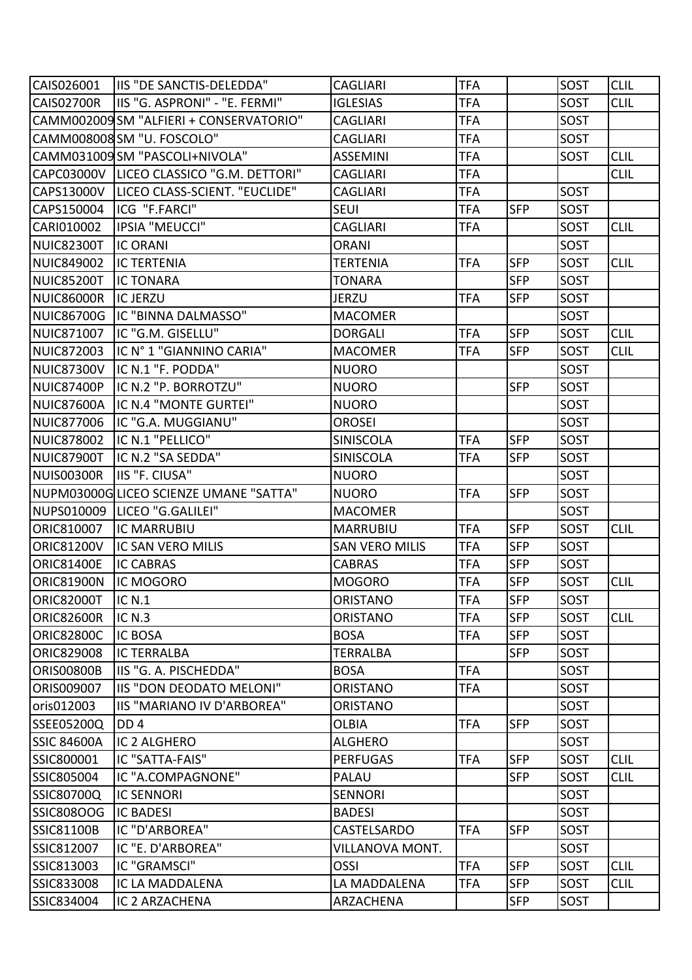| CAIS026001               | <b>IIS "DE SANCTIS-DELEDDA"</b>            | <b>CAGLIARI</b>       | <b>TFA</b> |            | SOST        | <b>CLIL</b> |
|--------------------------|--------------------------------------------|-----------------------|------------|------------|-------------|-------------|
| <b>CAIS02700R</b>        | IIS "G. ASPRONI" - "E. FERMI"              | <b>IGLESIAS</b>       | <b>TFA</b> |            | <b>SOST</b> | <b>CLIL</b> |
|                          | CAMM002009 SM "ALFIERI + CONSERVATORIO"    | <b>CAGLIARI</b>       | <b>TFA</b> |            | SOST        |             |
|                          | CAMM008008 SM "U. FOSCOLO"                 | <b>CAGLIARI</b>       | <b>TFA</b> |            | SOST        |             |
|                          | CAMM031009SM "PASCOLI+NIVOLA"              | <b>ASSEMINI</b>       | <b>TFA</b> |            | SOST        | <b>CLIL</b> |
|                          | CAPC03000V   LICEO CLASSICO "G.M. DETTORI" | <b>CAGLIARI</b>       | <b>TFA</b> |            |             | <b>CLIL</b> |
|                          | CAPS13000V   LICEO CLASS-SCIENT. "EUCLIDE" | <b>CAGLIARI</b>       | <b>TFA</b> |            | SOST        |             |
| CAPS150004               | ICG "F.FARCI"                              | <b>SEUI</b>           | <b>TFA</b> | <b>SFP</b> | SOST        |             |
| CARI010002               | IPSIA "MEUCCI"                             | <b>CAGLIARI</b>       | <b>TFA</b> |            | SOST        | <b>CLIL</b> |
| <b>NUIC82300T</b>        | <b>IC ORANI</b>                            | <b>ORANI</b>          |            |            | SOST        |             |
| <b>NUIC849002</b>        | <b>IC TERTENIA</b>                         | <b>TERTENIA</b>       | <b>TFA</b> | <b>SFP</b> | SOST        | <b>CLIL</b> |
| <b>NUIC85200T</b>        | <b>IC TONARA</b>                           | <b>TONARA</b>         |            | <b>SFP</b> | SOST        |             |
| <b>NUIC86000R</b>        | <b>IC JERZU</b>                            | <b>JERZU</b>          | <b>TFA</b> | <b>SFP</b> | <b>SOST</b> |             |
| <b>NUIC86700G</b>        | IC "BINNA DALMASSO"                        | <b>MACOMER</b>        |            |            | SOST        |             |
| NUIC871007               | IC "G.M. GISELLU"                          | <b>DORGALI</b>        | <b>TFA</b> | <b>SFP</b> | SOST        | <b>CLIL</b> |
| <b>NUIC872003</b>        | IC N° 1 "GIANNINO CARIA"                   | <b>MACOMER</b>        | <b>TFA</b> | <b>SFP</b> | SOST        | <b>CLIL</b> |
| <b>NUIC87300V</b>        | IC N.1 "F. PODDA"                          | <b>NUORO</b>          |            |            | SOST        |             |
| NUIC87400P               | IC N.2 "P. BORROTZU"                       | <b>NUORO</b>          |            | <b>SFP</b> | SOST        |             |
| <b>NUIC87600A</b>        | IC N.4 "MONTE GURTEI"                      | <b>NUORO</b>          |            |            | SOST        |             |
| <b>NUIC877006</b>        | IC "G.A. MUGGIANU"                         | <b>OROSEI</b>         |            |            | SOST        |             |
| <b>NUIC878002</b>        | IC N.1 "PELLICO"                           | SINISCOLA             | <b>TFA</b> | <b>SFP</b> | SOST        |             |
| <b>NUIC87900T</b>        | IC N.2 "SA SEDDA"                          | SINISCOLA             | <b>TFA</b> | <b>SFP</b> | SOST        |             |
| NUIS00300R               | IIS "F. CIUSA"                             | <b>NUORO</b>          |            |            | SOST        |             |
|                          | NUPM03000GLICEO SCIENZE UMANE "SATTA"      | <b>NUORO</b>          | <b>TFA</b> | <b>SFP</b> | <b>SOST</b> |             |
| NUPS010009               | LICEO "G.GALILEI"                          | <b>MACOMER</b>        |            |            | SOST        |             |
| ORIC810007               | <b>IC MARRUBIU</b>                         | <b>MARRUBIU</b>       | <b>TFA</b> | <b>SFP</b> | <b>SOST</b> | <b>CLIL</b> |
| <b>ORIC81200V</b>        | IC SAN VERO MILIS                          | <b>SAN VERO MILIS</b> | <b>TFA</b> | <b>SFP</b> | SOST        |             |
| <b>ORIC81400E</b>        | <b>IC CABRAS</b>                           | <b>CABRAS</b>         | <b>TFA</b> | <b>SFP</b> | SOST        |             |
| <b>ORIC81900N</b>        | <b>IC MOGORO</b>                           | <b>MOGORO</b>         | <b>TFA</b> | <b>SFP</b> | SOST        | <b>CLIL</b> |
| <b>ORIC82000T IC N.1</b> |                                            | ORISTANO              | <b>TFA</b> | <b>SFP</b> | SOST        |             |
| <b>ORIC82600R</b>        | IC $N.3$                                   | <b>ORISTANO</b>       | <b>TFA</b> | <b>SFP</b> | SOST        | <b>CLIL</b> |
| <b>ORIC82800C</b>        | IC BOSA                                    | <b>BOSA</b>           | <b>TFA</b> | <b>SFP</b> | SOST        |             |
| <b>ORIC829008</b>        | <b>IC TERRALBA</b>                         | <b>TERRALBA</b>       |            | <b>SFP</b> | SOST        |             |
| <b>ORIS00800B</b>        | IIS "G. A. PISCHEDDA"                      | <b>BOSA</b>           | <b>TFA</b> |            | SOST        |             |
| ORIS009007               | IIS "DON DEODATO MELONI"                   | <b>ORISTANO</b>       | <b>TFA</b> |            | SOST        |             |
| oris012003               | IIS "MARIANO IV D'ARBOREA"                 | <b>ORISTANO</b>       |            |            | SOST        |             |
| SSEE05200Q               | DD <sub>4</sub>                            | <b>OLBIA</b>          | <b>TFA</b> | <b>SFP</b> | SOST        |             |
| <b>SSIC 84600A</b>       | IC 2 ALGHERO                               | <b>ALGHERO</b>        |            |            | SOST        |             |
| SSIC800001               | IC "SATTA-FAIS"                            | <b>PERFUGAS</b>       | <b>TFA</b> | <b>SFP</b> | SOST        | <b>CLIL</b> |
| SSIC805004               | IC "A.COMPAGNONE"                          | PALAU                 |            | <b>SFP</b> | SOST        | <b>CLIL</b> |
| <b>SSIC80700Q</b>        | <b>IC SENNORI</b>                          | <b>SENNORI</b>        |            |            | SOST        |             |
| <b>SSIC808OOG</b>        | <b>IC BADESI</b>                           | <b>BADESI</b>         |            |            | SOST        |             |
| <b>SSIC81100B</b>        | IC "D'ARBOREA"                             | CASTELSARDO           | <b>TFA</b> | <b>SFP</b> | SOST        |             |
| SSIC812007               | IC "E. D'ARBOREA"                          | VILLANOVA MONT.       |            |            | SOST        |             |
| SSIC813003               | IC "GRAMSCI"                               | OSSI                  | <b>TFA</b> | <b>SFP</b> | SOST        | <b>CLIL</b> |
| SSIC833008               | IC LA MADDALENA                            | LA MADDALENA          | <b>TFA</b> | <b>SFP</b> | SOST        | <b>CLIL</b> |
| SSIC834004               | IC 2 ARZACHENA                             | ARZACHENA             |            | <b>SFP</b> | SOST        |             |